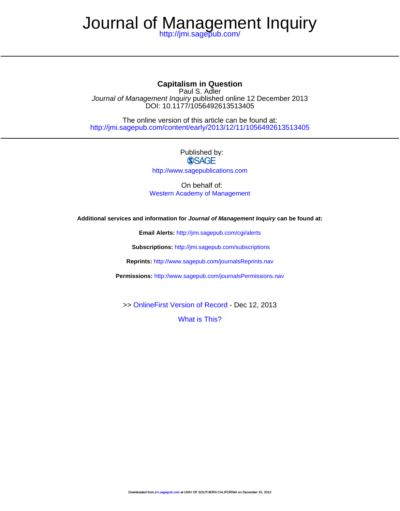# Journal o[f Management Inq](http://www.sagepub.com/journalsPermissions.nav)uiry

<http://jmi.sagepub.com/>

# **Capitalism in Question**

DOI: 10.1[177/105649261](http://online.sagepub.com/site/sphelp/vorhelp.xhtml)3513405 Journal of Management Inquiry published online 12 December 2013 [Paul S. Adler](http://jmi.sagepub.com/content/early/2013/12/11/1056492613513405.full.pdf)

<http://jmi.sagepub.com/content/early/2013/12/11/1056492613513405> The online version of this article can be found at:

## Published by: **SSAGE**

<http://www.sagepublications.com>

On behalf of: [Western Academy of Management](http://www.wamonline.org/)

**Additional services and information for Journal of Management Inquiry can be found at:**

**Email Alerts:** <http://jmi.sagepub.com/cgi/alerts>

**Subscriptions:** <http://jmi.sagepub.com/subscriptions>

**Reprints:** <http://www.sagepub.com/journalsReprints.nav>

**Permissions:** <http://www.sagepub.com/journalsPermissions.nav>

>> [OnlineFirst Version of Record -](http://jmi.sagepub.com/content/early/2013/12/11/1056492613513405.full.pdf) Dec 12, 2013

[What is This?](http://online.sagepub.com/site/sphelp/vorhelp.xhtml)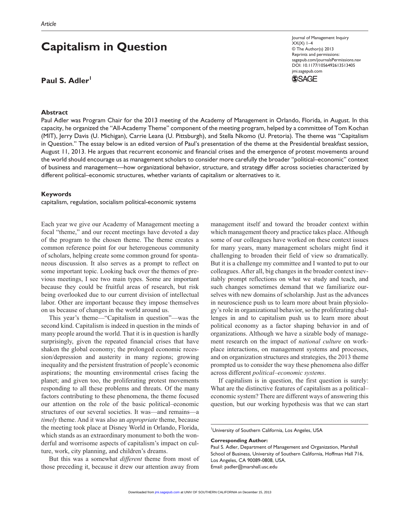# **Capitalism in Question**

### Paul S. Adler<sup>1</sup>

#### **Abstract**

Journal of Management Inquiry  $XX(X)$  1–4 © The Author(s) 2013 Reprints and permissions: sagepub.com/journalsPermissions.nav DOI: 10.1177/1056492613513405 jmi.sagepub.com



Paul Adler was Program Chair for the 2013 meeting of the Academy of Management in Orlando, Florida, in August. In this capacity, he organized the "All-Academy Theme" component of the meeting program, helped by a committee of Tom Kochan (MIT), Jerry Davis (U. Michigan), Carrie Leana (U. Pittsburgh), and Stella Nkomo (U. Pretoria). The theme was "Capitalism in Question." The essay below is an edited version of Paul's presentation of the theme at the Presidential breakfast session, August 11, 2013. He argues that recurrent economic and financial crises and the emergence of protest movements around the world should encourage us as management scholars to consider more carefully the broader "political–economic" context of business and management—how organizational behavior, structure, and strategy differ across societies characterized by different political–economic structures, whether variants of capitalism or alternatives to it.

#### **Keywords**

capitalism, regulation, socialism political-economic systems

Each year we give our Academy of Management meeting a focal "theme," and our recent meetings have devoted a day of the program to the chosen theme. The theme creates a common reference point for our heterogeneous community of scholars, helping create some common ground for spontaneous discussion. It also serves as a prompt to reflect on some important topic. Looking back over the themes of previous meetings, I see two main types. Some are important because they could be fruitful areas of research, but risk being overlooked due to our current division of intellectual labor. Other are important because they impose themselves on us because of changes in the world around us.

This year's theme—"Capitalism in question"—was the second kind. Capitalism is indeed in question in the minds of many people around the world. That it is in question is hardly surprisingly, given the repeated financial crises that have shaken the global economy; the prolonged economic recession/depression and austerity in many regions; growing inequality and the persistent frustration of people's economic aspirations; the mounting environmental crises facing the planet; and given too, the proliferating protest movements responding to all these problems and threats. Of the many factors contributing to these phenomena, the theme focused our attention on the role of the basic political–economic structures of our several societies. It was—and remains—a *timely* theme. And it was also an *appropriate* theme, because the meeting took place at Disney World in Orlando, Florida, which stands as an extraordinary monument to both the wonderful and worrisome aspects of capitalism's impact on culture, work, city planning, and children's dreams.

But this was a somewhat *different* theme from most of those preceding it, because it drew our attention away from

management itself and toward the broader context within which management theory and practice takes place. Although some of our colleagues have worked on these context issues for many years, many management scholars might find it challenging to broaden their field of view so dramatically. But it is a challenge my committee and I wanted to put to our colleagues. After all, big changes in the broader context inevitably prompt reflections on what we study and teach, and such changes sometimes demand that we familiarize ourselves with new domains of scholarship. Just as the advances in neuroscience push us to learn more about brain physiology's role in organizational behavior, so the proliferating challenges in and to capitalism push us to learn more about political economy as a factor shaping behavior in and of organizations. Although we have a sizable body of management research on the impact of *national culture* on workplace interactions, on management systems and processes, and on organization structures and strategies, the 2013 theme prompted us to consider the way these phenomena also differ across different *political–economic systems*.

If capitalism is in question, the first question is surely: What are the distinctive features of capitalism as a political– economic system? There are different ways of answering this question, but our working hypothesis was that we can start

University of Southern California, Los Angeles, USA

#### **Corresponding Author:**

Paul S. Adler, Department of Management and Organization, Marshall School of Business, University of Southern California, Hoffman Hall 716, Los Angeles, CA 90089-0808, USA. [Email:](http://jmi.sagepub.com/) [padler@marshall.usc.edu](mailto:padler@marshall.usc.edu)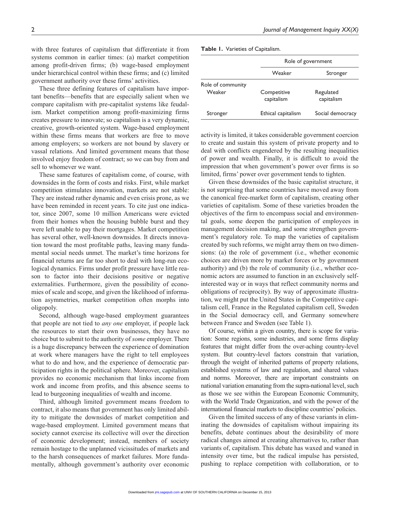with three features of capitalism that differentiate it from systems common in earlier times: (a) market competition among profit-driven firms; (b) wage-based employment under hierarchical control within these firms; and (c) limited government authority over these firms' activities.

These three defining features of capitalism have important benefits—benefits that are especially salient when we compare capitalism with pre-capitalist systems like feudalism. Market competition among profit-maximizing firms creates pressure to innovate; so capitalism is a very dynamic, creative, growth-oriented system. Wage-based employment within these firms means that workers are free to move among employers; so workers are not bound by slavery or vassal relations. And limited government means that those involved enjoy freedom of contract; so we can buy from and sell to whomever we want.

These same features of capitalism come, of course, with downsides in the form of costs and risks. First, while market competition stimulates innovation, markets are not stable: They are instead rather dynamic and even crisis prone, as we have been reminded in recent years. To cite just one indicator, since 2007, some 10 million Americans were evicted from their homes when the housing bubble burst and they were left unable to pay their mortgages. Market competition has several other, well-known downsides. It directs innovation toward the most profitable paths, leaving many fundamental social needs unmet. The market's time horizons for financial returns are far too short to deal with long-run ecological dynamics. Firms under profit pressure have little reason to factor into their decisions positive or negative externalities. Furthermore, given the possibility of economies of scale and scope, and given the likelihood of information asymmetries, market competition often morphs into oligopoly.

Second, although wage-based employment guarantees that people are not tied to *any one* employer, if people lack the resources to start their own businesses, they have no choice but to submit to the authority of *some* employer. There is a huge discrepancy between the experience of domination at work where managers have the right to tell employees what to do and how, and the experience of democratic participation rights in the political sphere. Moreover, capitalism provides no economic mechanism that links income from work and income from profits, and this absence seems to lead to burgeoning inequalities of wealth and income.

Third, although limited government means freedom to contract, it also means that government has only limited ability to mitigate the downsides of market competition and wage-based employment. Limited government means that society cannot exercise its collective will over the direction of economic development; instead, members of society remain hostage to the unplanned vicissitudes of markets and to the harsh consequences of market failures. More fundamentally, although government's authority over economic **Table 1.** Varieties of Capitalism.

|                             | Role of government        |                         |  |
|-----------------------------|---------------------------|-------------------------|--|
|                             | Weaker                    | Stronger                |  |
| Role of community<br>Weaker | Competitive<br>capitalism | Regulated<br>capitalism |  |
| Stronger                    | Ethical capitalism        | Social democracy        |  |

activity is limited, it takes considerable government coercion to create and sustain this system of private property and to deal with conflicts engendered by the resulting inequalities of power and wealth. Finally, it is difficult to avoid the impression that when government's power over firms is so limited, firms' power over government tends to tighten.

Given these downsides of the basic capitalist structure, it is not surprising that some countries have moved away from the canonical free-market form of capitalism, creating other varieties of capitalism. Some of these varieties broaden the objectives of the firm to encompass social and environmental goals, some deepen the participation of employees in management decision making, and some strengthen government's regulatory role. To map the varieties of capitalism created by such reforms, we might array them on two dimensions: (a) the role of government (i.e., whether economic choices are driven more by market forces or by government authority) and (b) the role of community (i.e., whether economic actors are assumed to function in an exclusively selfinterested way or in ways that reflect community norms and obligations of reciprocity). By way of approximate illustration, we might put the United States in the Competitive capitalism cell, France in the Regulated capitalism cell, Sweden in the Social democracy cell, and Germany somewhere between France and Sweden (see Table 1).

Of course, within a given country, there is scope for variation: Some regions, some industries, and some firms display features that might differ from the over-aching country-level system. But country-level factors constrain that variation, through the weight of inherited patterns of property relations, established systems of law and regulation, and shared values and norms. Moreover, there are important constraints on national variation emanating from the supra-national level, such as those we see within the European Economic Community, with the World Trade Organization, and with the power of the international financial markets to discipline countries' policies.

Given the limited success of any of these variants in eliminating the downsides of capitalism without impairing its benefits, debate continues about the desirability of more radical changes aimed at creating alternatives to, rather than variants of, capitalism. This debate has waxed and waned in intensity over time, but the radical impulse has persisted, pushing to replace competition with collaboration, or to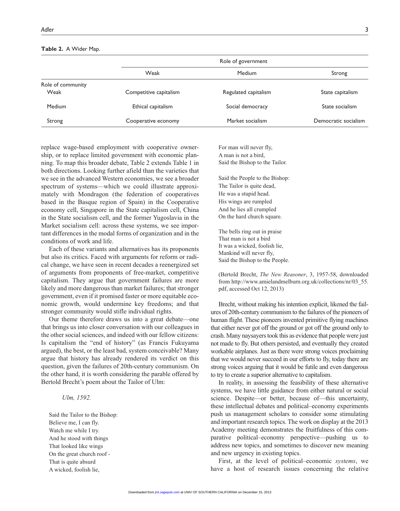| Role of government     |                      |                      |
|------------------------|----------------------|----------------------|
| Weak                   | Medium               | Strong               |
|                        |                      |                      |
| Competitive capitalism | Regulated capitalism | State capitalism     |
| Ethical capitalism     | Social democracy     | State socialism      |
| Cooperative economy    | Market socialism     | Democratic socialism |
|                        |                      |                      |

#### **Table 2.** A Wider Map.

replace wage-based employment with cooperative ownership, or to replace limited government with economic planning. To map this broader debate, Table 2 extends Table 1 in both directions. Looking further afield than the varieties that we see in the advanced Western economies, we see a broader spectrum of systems—which we could illustrate approximately with Mondragon (the federation of cooperatives based in the Basque region of Spain) in the Cooperative economy cell, Singapore in the State capitalism cell, China in the State socialism cell, and the former Yugoslavia in the Market socialism cell: across these systems, we see important differences in the modal forms of organization and in the conditions of work and life.

Each of these variants and alternatives has its proponents but also its critics. Faced with arguments for reform or radical change, we have seen in recent decades a reenergized set of arguments from proponents of free-market, competitive capitalism. They argue that government failures are more likely and more dangerous than market failures; that stronger government, even if it promised faster or more equitable economic growth, would undermine key freedoms; and that stronger community would stifle individual rights.

Our theme therefore draws us into a great debate—one that brings us into closer conversation with our colleagues in the other social sciences, and indeed with our fellow citizens: Is capitalism the "end of history" (as Francis Fukuyama argued), the best, or the least bad, system conceivable? Many argue that history has already rendered its verdict on this question, given the failures of 20th-century communism. On the other hand, it is worth considering the parable offered by Bertold Brecht's poem about the Tailor of Ulm:

#### *Ulm, 1592.*

Said the Tailor to the Bishop: Believe me, I can fly. Watch me while I try. And he stood with things That looked like wings On the great church roof - That is quite absurd A wicked, foolish lie,

For man will never fly, A man is not a bird, Said the Bishop to the Tailor.

Said the People to the Bishop: The Tailor is quite dead, He was a stupid head. His wings are rumpled And he lies all crumpled On the hard church square.

The bells ring out in praise That man is not a bird It was a wicked, foolish lie, Mankind will never fly, Said the Bishop to the People.

(Bertold Brecht, *The New Reasoner*, 3, 1957-58, downloaded from [http://www.amielandmelburn.org.uk/collections/nr/03\\_55.](http://www.amielandmelburn.org.uk/collections/nr/03_55.pdf) [pdf](http://www.amielandmelburn.org.uk/collections/nr/03_55.pdf), accessed Oct 12, 2013)

Brecht, without making his intention explicit, likened the failures of 20th-century communism to the failures of the pioneers of human flight. These pioneers invented primitive flying machines that either never got off the ground or got off the ground only to crash. Many naysayers took this as evidence that people were just not made to fly. But others persisted, and eventually they created workable airplanes. Just as there were strong voices proclaiming that we would never succeed in our efforts to fly, today there are strong voices arguing that it would be futile and even dangerous to try to create a superior alternative to capitalism.

In reality, in assessing the feasibility of these alternative systems, we have little guidance from either natural or social science. Despite—or better, because of—this uncertainty, these intellectual debates and political–economy experiments push us management scholars to consider some stimulating and important research topics. The work on display at the 2013 Academy meeting demonstrates the fruitfulness of this comparative political–economy perspective—pushing us to address new topics, and sometimes to discover new meaning and new urgency in existing topics.

First, at the level of political–economic *systems*, we [have a](http://jmi.sagepub.com/) host of research issues concerning the relative